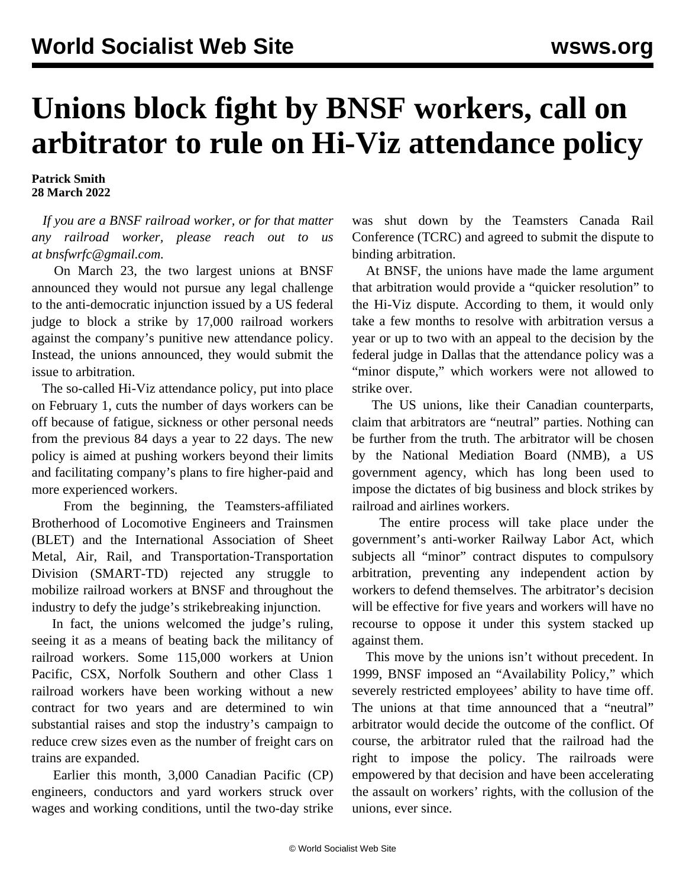## **Unions block fight by BNSF workers, call on arbitrator to rule on Hi-Viz attendance policy**

**Patrick Smith 28 March 2022**

 *If you are a BNSF railroad worker, or for that matter any railroad worker, please reach out to us at [bnsfwrfc@gmail.com](mailto:bnsfwrfc@gmail.com).*

 On March 23, the two largest unions at BNSF announced they would not pursue any legal challenge to the anti-democratic injunction issued by a US federal judge to block a strike by 17,000 railroad workers against the company's punitive new attendance policy. Instead, the unions announced, they would submit the issue to arbitration.

 The so-called Hi-Viz attendance policy, put into place on February 1, cuts the number of days workers can be off because of fatigue, sickness or other personal needs from the previous 84 days a year to 22 days. The new policy is aimed at pushing workers beyond their limits and facilitating company's plans to fire higher-paid and more experienced workers.

 From the beginning, the Teamsters-affiliated Brotherhood of Locomotive Engineers and Trainsmen (BLET) and the International Association of Sheet Metal, Air, Rail, and Transportation-Transportation Division (SMART-TD) rejected any struggle to mobilize railroad workers at BNSF and throughout the industry to defy the judge's strikebreaking injunction.

 In fact, the unions welcomed the judge's ruling, seeing it as a means of beating back the militancy of railroad workers. Some 115,000 workers at Union Pacific, CSX, Norfolk Southern and other Class 1 railroad workers have been working without a new contract for two years and are determined to win substantial raises and stop the industry's campaign to reduce crew sizes even as the number of freight cars on trains are expanded.

 Earlier this month, 3,000 Canadian Pacific (CP) engineers, conductors and yard workers struck over wages and working conditions, until the two-day strike was shut down by the Teamsters Canada Rail Conference (TCRC) and agreed to submit the dispute to binding arbitration.

 At BNSF, the unions have made the lame argument that arbitration would provide a "quicker resolution" to the Hi-Viz dispute. According to them, it would only take a few months to resolve with arbitration versus a year or up to two with an appeal to the decision by the federal judge in Dallas that the attendance policy was a "minor dispute," which workers were not allowed to strike over.

 The US unions, like their Canadian counterparts, claim that arbitrators are "neutral" parties. Nothing can be further from the truth. The arbitrator will be chosen by the National Mediation Board (NMB), a US government agency, which has long been used to impose the dictates of big business and block strikes by railroad and airlines workers.

 The entire process will take place under the government's anti-worker Railway Labor Act, which subjects all "minor" contract disputes to compulsory arbitration, preventing any independent action by workers to defend themselves. The arbitrator's decision will be effective for five years and workers will have no recourse to oppose it under this system stacked up against them.

 This move by the unions isn't without precedent. In 1999, BNSF imposed an "Availability Policy," which severely restricted employees' ability to have time off. The unions at that time announced that a "neutral" arbitrator would decide the outcome of the conflict. Of course, the arbitrator ruled that the railroad had the right to impose the policy. The railroads were empowered by that decision and have been accelerating the assault on workers' rights, with the collusion of the unions, ever since.